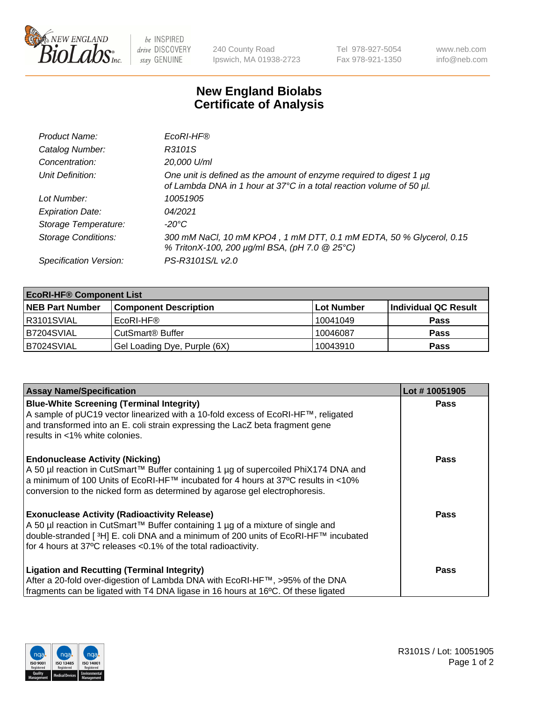

 $be$  INSPIRED drive DISCOVERY stay GENUINE

240 County Road Ipswich, MA 01938-2723 Tel 978-927-5054 Fax 978-921-1350 www.neb.com info@neb.com

## **New England Biolabs Certificate of Analysis**

| Product Name:              | EcoRI-HF®                                                                                                                                   |
|----------------------------|---------------------------------------------------------------------------------------------------------------------------------------------|
| Catalog Number:            | R3101S                                                                                                                                      |
| Concentration:             | 20,000 U/ml                                                                                                                                 |
| Unit Definition:           | One unit is defined as the amount of enzyme required to digest 1 µg<br>of Lambda DNA in 1 hour at 37°C in a total reaction volume of 50 µl. |
| Lot Number:                | 10051905                                                                                                                                    |
| <b>Expiration Date:</b>    | 04/2021                                                                                                                                     |
| Storage Temperature:       | -20°C                                                                                                                                       |
| <b>Storage Conditions:</b> | 300 mM NaCl, 10 mM KPO4, 1 mM DTT, 0.1 mM EDTA, 50 % Glycerol, 0.15<br>% TritonX-100, 200 µg/ml BSA, (pH 7.0 @ 25°C)                        |
| Specification Version:     | PS-R3101S/L v2.0                                                                                                                            |

| <b>EcoRI-HF® Component List</b> |                              |            |                      |  |  |
|---------------------------------|------------------------------|------------|----------------------|--|--|
| <b>NEB Part Number</b>          | <b>Component Description</b> | Lot Number | Individual QC Result |  |  |
| IR3101SVIAL                     | EcoRI-HF®                    | 10041049   | <b>Pass</b>          |  |  |
| B7204SVIAL                      | CutSmart <sup>®</sup> Buffer | 10046087   | <b>Pass</b>          |  |  |
| B7024SVIAL                      | Gel Loading Dye, Purple (6X) | 10043910   | <b>Pass</b>          |  |  |

| <b>Assay Name/Specification</b>                                                                                                                                                                                                                                                                               | Lot #10051905 |
|---------------------------------------------------------------------------------------------------------------------------------------------------------------------------------------------------------------------------------------------------------------------------------------------------------------|---------------|
| <b>Blue-White Screening (Terminal Integrity)</b><br>A sample of pUC19 vector linearized with a 10-fold excess of EcoRI-HF™, religated<br>and transformed into an E. coli strain expressing the LacZ beta fragment gene<br>results in <1% white colonies.                                                      | <b>Pass</b>   |
| <b>Endonuclease Activity (Nicking)</b><br>A 50 µl reaction in CutSmart™ Buffer containing 1 µg of supercoiled PhiX174 DNA and<br>  a minimum of 100 Units of EcoRI-HF™ incubated for 4 hours at 37°C results in <10%<br>conversion to the nicked form as determined by agarose gel electrophoresis.           | <b>Pass</b>   |
| <b>Exonuclease Activity (Radioactivity Release)</b><br>  A 50 µl reaction in CutSmart™ Buffer containing 1 µg of a mixture of single and<br>double-stranded [ <sup>3</sup> H] E. coli DNA and a minimum of 200 units of EcoRI-HF™ incubated<br>for 4 hours at 37°C releases <0.1% of the total radioactivity. | Pass          |
| <b>Ligation and Recutting (Terminal Integrity)</b><br>After a 20-fold over-digestion of Lambda DNA with EcoRI-HF™, >95% of the DNA<br>fragments can be ligated with T4 DNA ligase in 16 hours at 16°C. Of these ligated                                                                                       | <b>Pass</b>   |